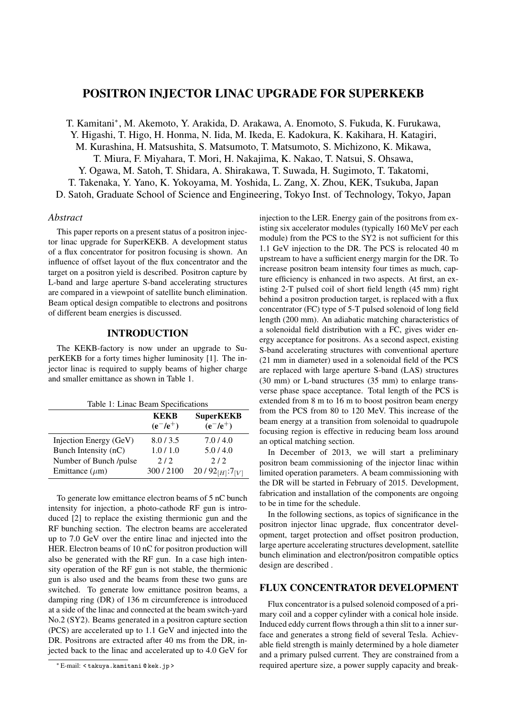# POSITRON INJECTOR LINAC UPGRADE FOR SUPERKEKB

T. Kamitani*<sup>∗</sup>* , M. Akemoto, Y. Arakida, D. Arakawa, A. Enomoto, S. Fukuda, K. Furukawa, Y. Higashi, T. Higo, H. Honma, N. Iida, M. Ikeda, E. Kadokura, K. Kakihara, H. Katagiri, M. Kurashina, H. Matsushita, S. Matsumoto, T. Matsumoto, S. Michizono, K. Mikawa, T. Miura, F. Miyahara, T. Mori, H. Nakajima, K. Nakao, T. Natsui, S. Ohsawa, Y. Ogawa, M. Satoh, T. Shidara, A. Shirakawa, T. Suwada, H. Sugimoto, T. Takatomi, T. Takenaka, Y. Yano, K. Yokoyama, M. Yoshida, L. Zang, X. Zhou, KEK, Tsukuba, Japan D. Satoh, Graduate School of Science and Engineering, Tokyo Inst. of Technology, Tokyo, Japan

#### *Abstract*

This paper reports on a present status of a positron injector linac upgrade for SuperKEKB. A development status of a flux concentrator for positron focusing is shown. An influence of offset layout of the flux concentrator and the target on a positron yield is described. Positron capture by L-band and large aperture S-band accelerating structures are compared in a viewpoint of satellite bunch elimination. Beam optical design compatible to electrons and positrons of different beam energies is discussed.

### INTRODUCTION

The KEKB-factory is now under an upgrade to SuperKEKB for a forty times higher luminosity [1]. The injector linac is required to supply beams of higher charge and smaller emittance as shown in Table 1.

| Table 1: Linac Beam Specifications |                     |                                 |  |
|------------------------------------|---------------------|---------------------------------|--|
|                                    | KEKB<br>$(e^-/e^+)$ | <b>SuperKEKB</b><br>$(e^-/e^+)$ |  |
| Injection Energy (GeV)             | 8.0 / 3.5           | 7.0/4.0                         |  |
| Bunch Intensity (nC)               | 1.0/1.0             | 5.0/4.0                         |  |
| Number of Bunch /pulse             | 2/2                 | 2/2                             |  |

 $20/92_{[H]}$ :7<sub>[*V*]</sub>

Emittance  $(\mu m)$  300 / 2100

To generate low emittance electron beams of 5 nC bunch intensity for injection, a photo-cathode RF gun is introduced [2] to replace the existing thermionic gun and the RF bunching section. The electron beams are accelerated up to 7.0 GeV over the entire linac and injected into the HER. Electron beams of 10 nC for positron production will also be generated with the RF gun. In a case high intensity operation of the RF gun is not stable, the thermionic gun is also used and the beams from these two guns are switched. To generate low emittance positron beams, a damping ring (DR) of 136 m circumference is introduced at a side of the linac and connected at the beam switch-yard No.2 (SY2). Beams generated in a positron capture section (PCS) are accelerated up to 1.1 GeV and injected into the DR. Positrons are extracted after 40 ms from the DR, injected back to the linac and accelerated up to 4.0 GeV for injection to the LER. Energy gain of the positrons from existing six accelerator modules (typically 160 MeV per each module) from the PCS to the SY2 is not sufficient for this 1.1 GeV injection to the DR. The PCS is relocated 40 m upstream to have a sufficient energy margin for the DR. To increase positron beam intensity four times as much, capture efficiency is enhanced in two aspects. At first, an existing 2-T pulsed coil of short field length (45 mm) right behind a positron production target, is replaced with a flux concentrator (FC) type of 5-T pulsed solenoid of long field length (200 mm). An adiabatic matching characteristics of a solenoidal field distribution with a FC, gives wider energy acceptance for positrons. As a second aspect, existing S-band accelerating structures with conventional aperture (21 mm in diameter) used in a solenoidal field of the PCS are replaced with large aperture S-band (LAS) structures (30 mm) or L-band structures (35 mm) to enlarge transverse phase space acceptance. Total length of the PCS is extended from 8 m to 16 m to boost positron beam energy from the PCS from 80 to 120 MeV. This increase of the beam energy at a transition from solenoidal to quadrupole focusing region is effective in reducing beam loss around an optical matching section.

In December of 2013, we will start a preliminary positron beam commissioning of the injector linac within limited operation parameters. A beam commissioning with the DR will be started in February of 2015. Development, fabrication and installation of the components are ongoing to be in time for the schedule.

In the following sections, as topics of significance in the positron injector linac upgrade, flux concentrator development, target protection and offset positron production, large aperture accelerating structures development, satellite bunch elimination and electron/positron compatible optics design are described .

#### FLUX CONCENTRATOR DEVELOPMENT

Flux concentrator is a pulsed solenoid composed of a primary coil and a copper cylinder with a conical hole inside. Induced eddy current flows through a thin slit to a inner surface and generates a strong field of several Tesla. Achievable field strength is mainly determined by a hole diameter and a primary pulsed current. They are constrained from a required aperture size, a power supply capacity and break-

*<sup>∗</sup>* E-mail: < takuya.kamitani @ kek.jp >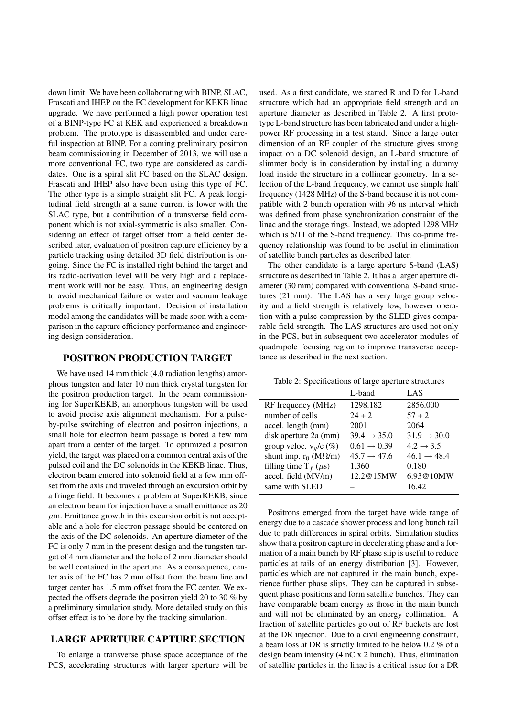down limit. We have been collaborating with BINP, SLAC, Frascati and IHEP on the FC development for KEKB linac upgrade. We have performed a high power operation test of a BINP-type FC at KEK and experienced a breakdown problem. The prototype is disassembled and under careful inspection at BINP. For a coming preliminary positron beam commissioning in December of 2013, we will use a more conventional FC, two type are considered as candidates. One is a spiral slit FC based on the SLAC design. Frascati and IHEP also have been using this type of FC. The other type is a simple straight slit FC. A peak longitudinal field strength at a same current is lower with the SLAC type, but a contribution of a transverse field component which is not axial-symmetric is also smaller. Considering an effect of target offset from a field center described later, evaluation of positron capture efficiency by a particle tracking using detailed 3D field distribution is ongoing. Since the FC is installed right behind the target and its radio-activation level will be very high and a replacement work will not be easy. Thus, an engineering design to avoid mechanical failure or water and vacuum leakage problems is critically important. Decision of installation model among the candidates will be made soon with a comparison in the capture efficiency performance and engineering design consideration.

### POSITRON PRODUCTION TARGET

We have used 14 mm thick (4.0 radiation lengths) amorphous tungsten and later 10 mm thick crystal tungsten for the positron production target. In the beam commissioning for SuperKEKB, an amorphous tungsten will be used to avoid precise axis alignment mechanism. For a pulseby-pulse switching of electron and positron injections, a small hole for electron beam passage is bored a few mm apart from a center of the target. To optimized a positron yield, the target was placed on a common central axis of the pulsed coil and the DC solenoids in the KEKB linac. Thus, electron beam entered into solenoid field at a few mm offset from the axis and traveled through an excursion orbit by a fringe field. It becomes a problem at SuperKEKB, since an electron beam for injection have a small emittance as 20  $\mu$ m. Emittance growth in this excursion orbit is not acceptable and a hole for electron passage should be centered on the axis of the DC solenoids. An aperture diameter of the FC is only 7 mm in the present design and the tungsten target of 4 mm diameter and the hole of 2 mm diameter should be well contained in the aperture. As a consequence, center axis of the FC has 2 mm offset from the beam line and target center has 1.5 mm offset from the FC center. We expected the offsets degrade the positron yield 20 to 30 % by a preliminary simulation study. More detailed study on this offset effect is to be done by the tracking simulation.

# LARGE APERTURE CAPTURE SECTION

To enlarge a transverse phase space acceptance of the PCS, accelerating structures with larger aperture will be

used. As a first candidate, we started R and D for L-band structure which had an appropriate field strength and an aperture diameter as described in Table 2. A first prototype L-band structure has been fabricated and under a highpower RF processing in a test stand. Since a large outer dimension of an RF coupler of the structure gives strong impact on a DC solenoid design, an L-band structure of slimmer body is in consideration by installing a dummy load inside the structure in a collinear geometry. In a selection of the L-band frequency, we cannot use simple half frequency (1428 MHz) of the S-band because it is not compatible with 2 bunch operation with 96 ns interval which was defined from phase synchronization constraint of the linac and the storage rings. Instead, we adopted 1298 MHz which is 5/11 of the S-band frequency. This co-prime frequency relationship was found to be useful in elimination of satellite bunch particles as described later.

The other candidate is a large aperture S-band (LAS) structure as described in Table 2. It has a larger aperture diameter (30 mm) compared with conventional S-band structures (21 mm). The LAS has a very large group velocity and a field strength is relatively low, however operation with a pulse compression by the SLED gives comparable field strength. The LAS structures are used not only in the PCS, but in subsequent two accelerator modules of quadrupole focusing region to improve transverse acceptance as described in the next section.

Table 2: Specifications of large aperture structures

|                                  | L-band                  | LAS                     |
|----------------------------------|-------------------------|-------------------------|
| RF frequency (MHz)               | 1298.182                | 2856.000                |
| number of cells                  | $24 + 2$                | $57 + 2$                |
| accel. length (mm)               | 2001                    | 2064                    |
| disk aperture 2a (mm)            | $39.4 \rightarrow 35.0$ | $31.9 \rightarrow 30.0$ |
| group veloc. $v_q/c$ (%)         | $0.61 \rightarrow 0.39$ | $4.2 \rightarrow 3.5$   |
| shunt imp. $r_0$ (M $\Omega/m$ ) | $45.7 \rightarrow 47.6$ | $46.1 \rightarrow 48.4$ |
| filling time $T_f$ ( $\mu$ s)    | 1.360                   | 0.180                   |
| accel. field (MV/m)              | 12.2@15MW               | 6.93@10MW               |
| same with SLED                   |                         | 16.42                   |

Positrons emerged from the target have wide range of energy due to a cascade shower process and long bunch tail due to path differences in spiral orbits. Simulation studies show that a positron capture in decelerating phase and a formation of a main bunch by RF phase slip is useful to reduce particles at tails of an energy distribution [3]. However, particles which are not captured in the main bunch, experience further phase slips. They can be captured in subsequent phase positions and form satellite bunches. They can have comparable beam energy as those in the main bunch and will not be eliminated by an energy collimation. A fraction of satellite particles go out of RF buckets are lost at the DR injection. Due to a civil engineering constraint, a beam loss at DR is strictly limited to be below 0.2 % of a design beam intensity (4 nC x 2 bunch). Thus, elimination of satellite particles in the linac is a critical issue for a DR